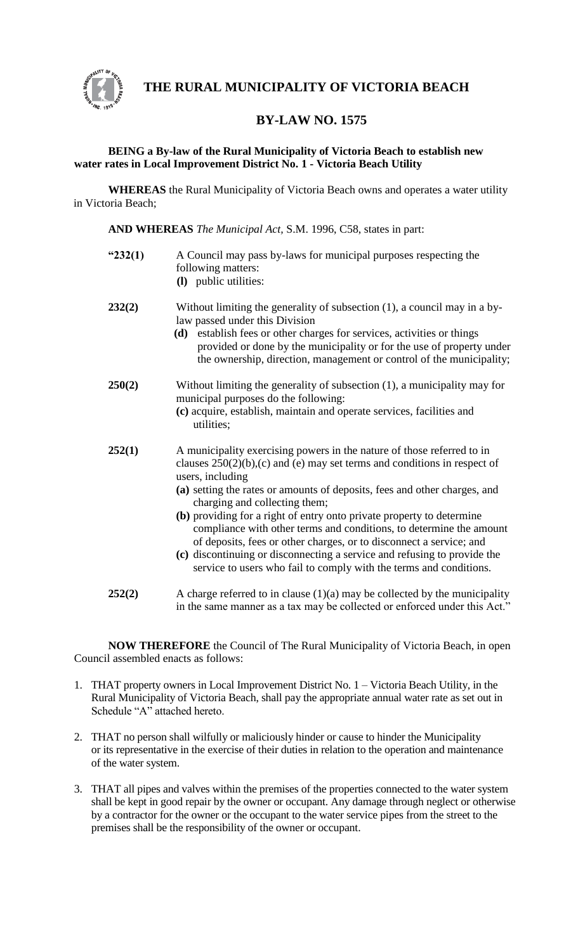

 **THE RURAL MUNICIPALITY OF VICTORIA BEACH**

# **BY-LAW NO. 1575**

## **BEING a By-law of the Rural Municipality of Victoria Beach to establish new water rates in Local Improvement District No. 1 - Victoria Beach Utility**

**WHEREAS** the Rural Municipality of Victoria Beach owns and operates a water utility in Victoria Beach;

**AND WHEREAS** *The Municipal Act,* S.M. 1996, C58, states in part:

- **"232(1)** A Council may pass by-laws for municipal purposes respecting the following matters: **(l)** public utilities:
	-
- **232(2)** Without limiting the generality of subsection (1), a council may in a bylaw passed under this Division
	- **(d)** establish fees or other charges for services, activities or things provided or done by the municipality or for the use of property under the ownership, direction, management or control of the municipality;
- **250(2)** Without limiting the generality of subsection (1), a municipality may for municipal purposes do the following: **(c)** acquire, establish, maintain and operate services, facilities and utilities;
- **252(1)** A municipality exercising powers in the nature of those referred to in clauses 250(2)(b),(c) and (e) may set terms and conditions in respect of users, including
	- **(a)** setting the rates or amounts of deposits, fees and other charges, and charging and collecting them;
	- **(b)** providing for a right of entry onto private property to determine compliance with other terms and conditions, to determine the amount of deposits, fees or other charges, or to disconnect a service; and
	- **(c)** discontinuing or disconnecting a service and refusing to provide the service to users who fail to comply with the terms and conditions.
- **252(2)** A charge referred to in clause (1)(a) may be collected by the municipality in the same manner as a tax may be collected or enforced under this Act."

**NOW THEREFORE** the Council of The Rural Municipality of Victoria Beach, in open Council assembled enacts as follows:

- 1. THAT property owners in Local Improvement District No. 1 Victoria Beach Utility, in the Rural Municipality of Victoria Beach, shall pay the appropriate annual water rate as set out in Schedule "A" attached hereto.
- 2. THAT no person shall wilfully or maliciously hinder or cause to hinder the Municipality or its representative in the exercise of their duties in relation to the operation and maintenance of the water system.
- 3. THAT all pipes and valves within the premises of the properties connected to the water system shall be kept in good repair by the owner or occupant. Any damage through neglect or otherwise by a contractor for the owner or the occupant to the water service pipes from the street to the premises shall be the responsibility of the owner or occupant.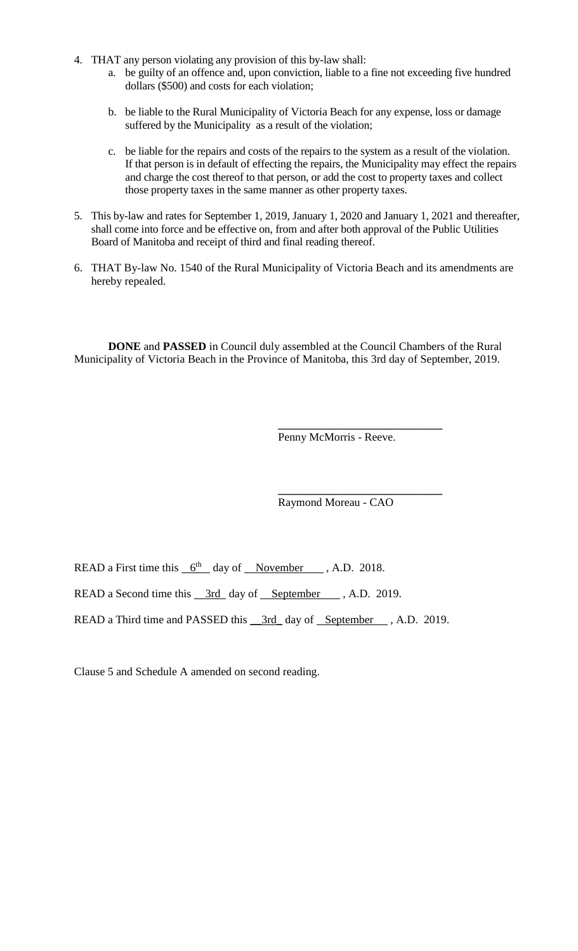- 4. THAT any person violating any provision of this by-law shall:
	- a. be guilty of an offence and, upon conviction, liable to a fine not exceeding five hundred dollars (\$500) and costs for each violation;
	- b. be liable to the Rural Municipality of Victoria Beach for any expense, loss or damage suffered by the Municipality as a result of the violation;
	- c. be liable for the repairs and costs of the repairs to the system as a result of the violation. If that person is in default of effecting the repairs, the Municipality may effect the repairs and charge the cost thereof to that person, or add the cost to property taxes and collect those property taxes in the same manner as other property taxes.
- 5. This by-law and rates for September 1, 2019, January 1, 2020 and January 1, 2021 and thereafter, shall come into force and be effective on, from and after both approval of the Public Utilities Board of Manitoba and receipt of third and final reading thereof.
- 6. THAT By-law No. 1540 of the Rural Municipality of Victoria Beach and its amendments are hereby repealed.

**DONE** and **PASSED** in Council duly assembled at the Council Chambers of the Rural Municipality of Victoria Beach in the Province of Manitoba, this 3rd day of September, 2019.

> **\_\_\_\_\_\_\_\_\_\_\_\_\_\_\_\_\_\_\_\_\_\_\_\_\_\_\_\_\_** Penny McMorris - Reeve.

> **\_\_\_\_\_\_\_\_\_\_\_\_\_\_\_\_\_\_\_\_\_\_\_\_\_\_\_\_\_** Raymond Moreau - CAO

READ a First time this  $6^{th}$  day of November , A.D. 2018.

READ a Second time this  $\frac{3rd}{ }$  day of September , A.D. 2019.

READ a Third time and PASSED this <u>3rd</u> day of <u>September</u> , A.D. 2019.

Clause 5 and Schedule A amended on second reading.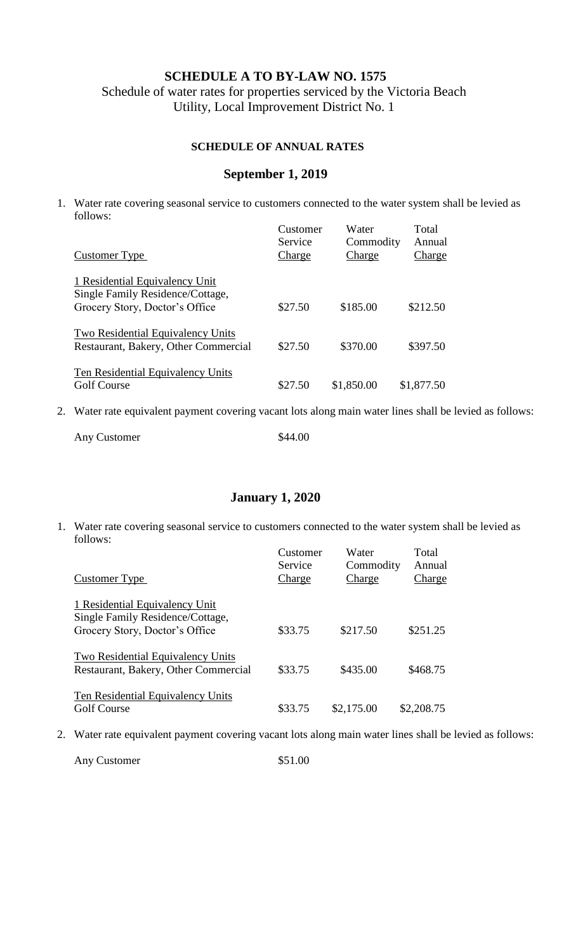## **SCHEDULE A TO BY-LAW NO. 1575**

Schedule of water rates for properties serviced by the Victoria Beach Utility, Local Improvement District No. 1

## **SCHEDULE OF ANNUAL RATES**

## **September 1, 2019**

1. Water rate covering seasonal service to customers connected to the water system shall be levied as follows: Customer Water Total

| Customer Type                                                                                        | Customer<br>Service<br>Charge | w ater<br>Commodity<br>Charge | I Otal<br>Annual<br>Charge |
|------------------------------------------------------------------------------------------------------|-------------------------------|-------------------------------|----------------------------|
| 1 Residential Equivalency Unit<br>Single Family Residence/Cottage,<br>Grocery Story, Doctor's Office | \$27.50                       | \$185.00                      | \$212.50                   |
| Two Residential Equivalency Units<br>Restaurant, Bakery, Other Commercial                            | \$27.50                       | \$370.00                      | \$397.50                   |
| Ten Residential Equivalency Units<br><b>Golf Course</b>                                              | \$27.50                       | \$1,850.00                    | \$1,877.50                 |

2. Water rate equivalent payment covering vacant lots along main water lines shall be levied as follows:

| Any Customer | \$44.00 |
|--------------|---------|
|--------------|---------|

#### **January 1, 2020**

1. Water rate covering seasonal service to customers connected to the water system shall be levied as follows: Customer Water Total

| Customer Type                                                                                        | Customer<br>Service<br>Charge | <u>waler</u><br>Commodity<br>Charge | i otal<br>Annual<br>Charge |
|------------------------------------------------------------------------------------------------------|-------------------------------|-------------------------------------|----------------------------|
| 1 Residential Equivalency Unit<br>Single Family Residence/Cottage,<br>Grocery Story, Doctor's Office | \$33.75                       | \$217.50                            | \$251.25                   |
| Two Residential Equivalency Units<br>Restaurant, Bakery, Other Commercial                            | \$33.75                       | \$435.00                            | \$468.75                   |
| Ten Residential Equivalency Units<br><b>Golf Course</b>                                              | \$33.75                       | \$2,175.00                          | \$2,208.75                 |

2. Water rate equivalent payment covering vacant lots along main water lines shall be levied as follows:

Any Customer  $$51.00$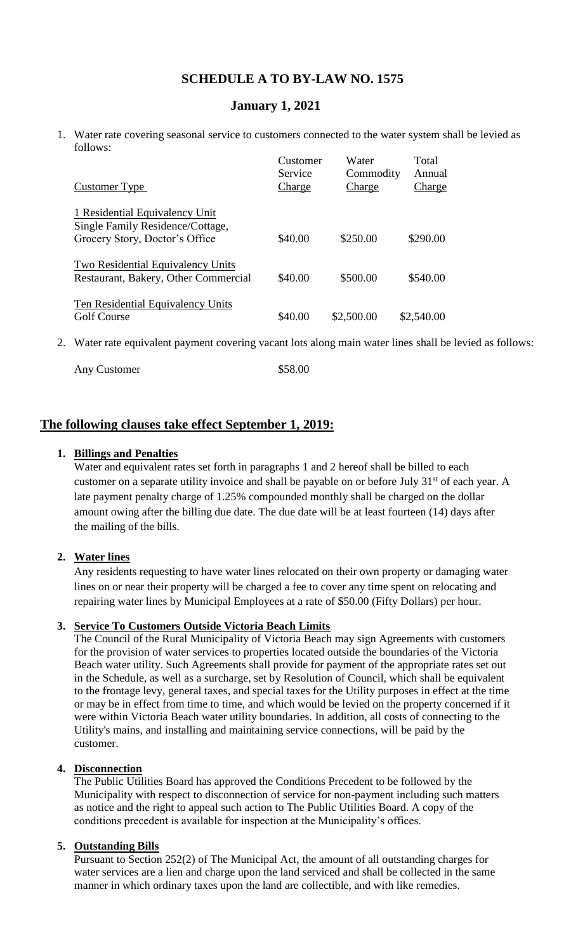# **SCHEDULE A TO BY-LAW NO. 1575**

# **January 1, 2021**

1. Water rate covering seasonal service to customers connected to the water system shall be levied as follows:

|                                                                           | Customer<br>Service | Water<br>Commodity | Total<br>Annual |
|---------------------------------------------------------------------------|---------------------|--------------------|-----------------|
| Customer Type                                                             | Charge              | Charge             | <b>Charge</b>   |
| 1 Residential Equivalency Unit<br>Single Family Residence/Cottage,        |                     |                    |                 |
| Grocery Story, Doctor's Office                                            | \$40.00             | \$250.00           | \$290.00        |
| Two Residential Equivalency Units<br>Restaurant, Bakery, Other Commercial | \$40.00             | \$500.00           | \$540.00        |
| Ten Residential Equivalency Units<br><b>Golf Course</b>                   | \$40.00             | \$2,500.00         | \$2,540.00      |

2. Water rate equivalent payment covering vacant lots along main water lines shall be levied as follows:

| Any Customer | \$58.00 |
|--------------|---------|
|--------------|---------|

# **The following clauses take effect September 1, 2019:**

#### **1. Billings and Penalties**

Water and equivalent rates set forth in paragraphs 1 and 2 hereof shall be billed to each customer on a separate utility invoice and shall be payable on or before July 31<sup>st</sup> of each year. A late payment penalty charge of 1.25% compounded monthly shall be charged on the dollar amount owing after the billing due date. The due date will be at least fourteen (14) days after the mailing of the bills.

#### **2. Water lines**

Any residents requesting to have water lines relocated on their own property or damaging water lines on or near their property will be charged a fee to cover any time spent on relocating and repairing water lines by Municipal Employees at a rate of \$50.00 (Fifty Dollars) per hour.

#### **3. Service To Customers Outside Victoria Beach Limits**

The Council of the Rural Municipality of Victoria Beach may sign Agreements with customers for the provision of water services to properties located outside the boundaries of the Victoria Beach water utility. Such Agreements shall provide for payment of the appropriate rates set out in the Schedule, as well as a surcharge, set by Resolution of Council, which shall be equivalent to the frontage levy, general taxes, and special taxes for the Utility purposes in effect at the time or may be in effect from time to time, and which would be levied on the property concerned if it were within Victoria Beach water utility boundaries. In addition, all costs of connecting to the Utility's mains, and installing and maintaining service connections, will be paid by the customer.

## **4. Disconnection**

The Public Utilities Board has approved the Conditions Precedent to be followed by the Municipality with respect to disconnection of service for non-payment including such matters as notice and the right to appeal such action to The Public Utilities Board. A copy of the conditions precedent is available for inspection at the Municipality's offices.

#### **5. Outstanding Bills**

Pursuant to Section 252(2) of The Municipal Act, the amount of all outstanding charges for water services are a lien and charge upon the land serviced and shall be collected in the same manner in which ordinary taxes upon the land are collectible, and with like remedies.